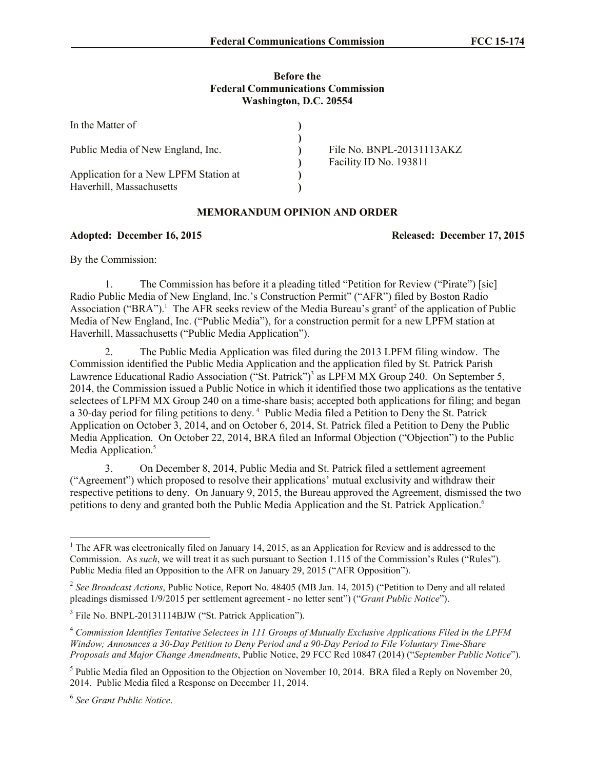## **Before the Federal Communications Commission Washington, D.C. 20554**

| In the Matter of                                                  |  |                                                     |
|-------------------------------------------------------------------|--|-----------------------------------------------------|
| Public Media of New England, Inc.                                 |  | File No. BNPL-20131113AKZ<br>Facility ID No. 193811 |
| Application for a New LPFM Station at<br>Haverhill, Massachusetts |  |                                                     |

## **MEMORANDUM OPINION AND ORDER**

## **Adopted: December 16, 2015 Released: December 17, 2015**

By the Commission:

1. The Commission has before it a pleading titled "Petition for Review ("Pirate") [sic] Radio Public Media of New England, Inc.'s Construction Permit" ("AFR") filed by Boston Radio Association ("BRA").<sup>1</sup> The AFR seeks review of the Media Bureau's grant<sup>2</sup> of the application of Public Media of New England, Inc. ("Public Media"), for a construction permit for a new LPFM station at Haverhill, Massachusetts ("Public Media Application").

2. The Public Media Application was filed during the 2013 LPFM filing window. The Commission identified the Public Media Application and the application filed by St. Patrick Parish Lawrence Educational Radio Association ("St. Patrick")<sup>3</sup> as LPFM MX Group 240. On September 5, 2014, the Commission issued a Public Notice in which it identified those two applications as the tentative selectees of LPFM MX Group 240 on a time-share basis; accepted both applications for filing; and began a 30-day period for filing petitions to deny.<sup>4</sup> Public Media filed a Petition to Deny the St. Patrick Application on October 3, 2014, and on October 6, 2014, St. Patrick filed a Petition to Deny the Public Media Application. On October 22, 2014, BRA filed an Informal Objection ("Objection") to the Public Media Application.<sup>5</sup>

3. On December 8, 2014, Public Media and St. Patrick filed a settlement agreement ("Agreement") which proposed to resolve their applications' mutual exclusivity and withdraw their respective petitions to deny. On January 9, 2015, the Bureau approved the Agreement, dismissed the two petitions to deny and granted both the Public Media Application and the St. Patrick Application. 6

 $\overline{a}$ 

<sup>&</sup>lt;sup>1</sup> The AFR was electronically filed on January 14, 2015, as an Application for Review and is addressed to the Commission. As *such*, we will treat it as such pursuant to Section 1.115 of the Commission's Rules ("Rules"). Public Media filed an Opposition to the AFR on January 29, 2015 ("AFR Opposition").

<sup>&</sup>lt;sup>2</sup> See Broadcast Actions, Public Notice, Report No. 48405 (MB Jan. 14, 2015) ("Petition to Deny and all related pleadings dismissed 1/9/2015 per settlement agreement - no letter sent") ("*Grant Public Notice*").

<sup>&</sup>lt;sup>3</sup> File No. BNPL-20131114BJW ("St. Patrick Application").

<sup>4</sup> *Commission Identifies Tentative Selectees in 111 Groups of Mutually Exclusive Applications Filed in the LPFM Window; Announces a 30-Day Petition to Deny Period and a 90-Day Period to File Voluntary Time-Share Proposals and Major Change Amendments*, Public Notice, 29 FCC Rcd 10847 (2014) ("*September Public Notice*").

<sup>&</sup>lt;sup>5</sup> Public Media filed an Opposition to the Objection on November 10, 2014. BRA filed a Reply on November 20, 2014. Public Media filed a Response on December 11, 2014.

<sup>6</sup> *See Grant Public Notice*.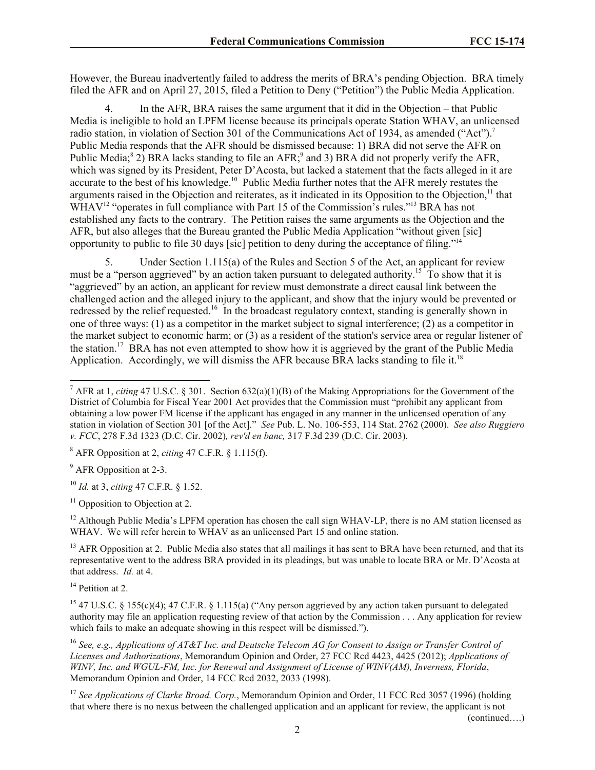However, the Bureau inadvertently failed to address the merits of BRA's pending Objection. BRA timely filed the AFR and on April 27, 2015, filed a Petition to Deny ("Petition") the Public Media Application.

4. In the AFR, BRA raises the same argument that it did in the Objection – that Public Media is ineligible to hold an LPFM license because its principals operate Station WHAV, an unlicensed radio station, in violation of Section 301 of the Communications Act of 1934, as amended ("Act").<sup>7</sup> Public Media responds that the AFR should be dismissed because: 1) BRA did not serve the AFR on Public Media;<sup>8</sup> 2) BRA lacks standing to file an AFR;<sup>9</sup> and 3) BRA did not properly verify the AFR, which was signed by its President, Peter D'Acosta, but lacked a statement that the facts alleged in it are accurate to the best of his knowledge.<sup>10</sup> Public Media further notes that the AFR merely restates the arguments raised in the Objection and reiterates, as it indicated in its Opposition to the Objection,<sup>11</sup> that WHAV<sup>12</sup> "operates in full compliance with Part 15 of the Commission's rules."<sup>13</sup> BRA has not established any facts to the contrary. The Petition raises the same arguments as the Objection and the AFR, but also alleges that the Bureau granted the Public Media Application "without given [sic] opportunity to public to file 30 days [sic] petition to deny during the acceptance of filing."<sup>14</sup>

5. Under Section 1.115(a) of the Rules and Section 5 of the Act, an applicant for review must be a "person aggrieved" by an action taken pursuant to delegated authority.<sup>15</sup> To show that it is "aggrieved" by an action, an applicant for review must demonstrate a direct causal link between the challenged action and the alleged injury to the applicant, and show that the injury would be prevented or redressed by the relief requested.<sup>16</sup> In the broadcast regulatory context, standing is generally shown in one of three ways: (1) as a competitor in the market subject to signal interference; (2) as a competitor in the market subject to economic harm; or (3) as a resident of the station's service area or regular listener of the station.<sup>17</sup> BRA has not even attempted to show how it is aggrieved by the grant of the Public Media Application. Accordingly, we will dismiss the AFR because BRA lacks standing to file it.<sup>18</sup>

<sup>8</sup> AFR Opposition at 2, *citing* 47 C.F.R. § 1.115(f).

<sup>9</sup> AFR Opposition at 2-3.

l

<sup>10</sup> *Id.* at 3, *citing* 47 C.F.R. § 1.52.

 $11$  Opposition to Objection at 2.

<sup>12</sup> Although Public Media's LPFM operation has chosen the call sign WHAV-LP, there is no AM station licensed as WHAV. We will refer herein to WHAV as an unlicensed Part 15 and online station.

 $<sup>13</sup>$  AFR Opposition at 2. Public Media also states that all mailings it has sent to BRA have been returned, and that its</sup> representative went to the address BRA provided in its pleadings, but was unable to locate BRA or Mr. D'Acosta at that address. *Id.* at 4.

<sup>14</sup> Petition at 2.

<sup>15</sup> 47 U.S.C. § 155(c)(4); 47 C.F.R. § 1.115(a) ("Any person aggrieved by any action taken pursuant to delegated authority may file an application requesting review of that action by the Commission . . . Any application for review which fails to make an adequate showing in this respect will be dismissed.").

<sup>16</sup> *See, e.g., Applications of AT&T Inc. and Deutsche Telecom AG for Consent to Assign or Transfer Control of Licenses and Authorizations*, Memorandum Opinion and Order, 27 FCC Rcd 4423, 4425 (2012); *Applications of WINV, Inc. and WGUL-FM, Inc. for Renewal and Assignment of License of WINV(AM), Inverness, Florida*, Memorandum Opinion and Order, 14 FCC Rcd 2032, 2033 (1998).

<sup>17</sup> See Applications of Clarke Broad. Corp., Memorandum Opinion and Order, 11 FCC Rcd 3057 (1996) (holding that where there is no nexus between the challenged application and an applicant for review, the applicant is not

(continued….)

<sup>7</sup> AFR at 1, *citing* 47 U.S.C. § 301. Section 632(a)(1)(B) of the Making Appropriations for the Government of the District of Columbia for Fiscal Year 2001 Act provides that the Commission must "prohibit any applicant from obtaining a low power FM license if the applicant has engaged in any manner in the unlicensed operation of any station in violation of Section 301 [of the Act]." *See* Pub. L. No. 106-553, 114 Stat. 2762 (2000). *See also Ruggiero v. FCC*, 278 F.3d 1323 (D.C. Cir. 2002)*, rev'd en banc,* 317 F.3d 239 (D.C. Cir. 2003).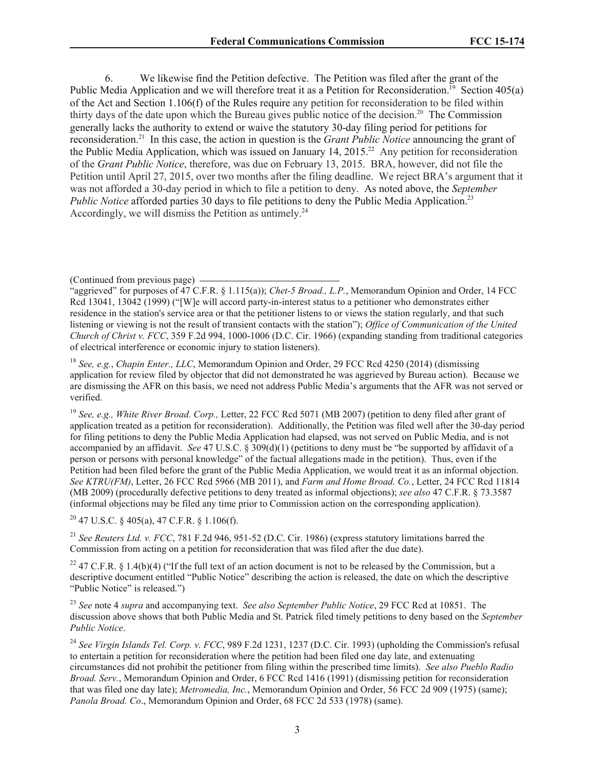6. We likewise find the Petition defective. The Petition was filed after the grant of the Public Media Application and we will therefore treat it as a Petition for Reconsideration.<sup>19</sup> Section 405(a) of the Act and Section 1.106(f) of the Rules require any petition for reconsideration to be filed within thirty days of the date upon which the Bureau gives public notice of the decision.<sup>20</sup> The Commission generally lacks the authority to extend or waive the statutory 30-day filing period for petitions for reconsideration. 21 In this case, the action in question is the *Grant Public Notice* announcing the grant of the Public Media Application, which was issued on January 14,  $2015<sup>22</sup>$  Any petition for reconsideration of the *Grant Public Notice*, therefore, was due on February 13, 2015. BRA, however, did not file the Petition until April 27, 2015, over two months after the filing deadline. We reject BRA's argument that it was not afforded a 30-day period in which to file a petition to deny. As noted above, the *September Public Notice* afforded parties 30 days to file petitions to deny the Public Media Application.<sup>23</sup> Accordingly, we will dismiss the Petition as untimely.<sup>24</sup>

(Continued from previous page)

<sup>18</sup> *See, e.g.*, *Chapin Enter., LLC*, Memorandum Opinion and Order, 29 FCC Rcd 4250 (2014) (dismissing application for review filed by objector that did not demonstrated he was aggrieved by Bureau action). Because we are dismissing the AFR on this basis, we need not address Public Media's arguments that the AFR was not served or verified.

<sup>19</sup> *See, e.g., White River Broad. Corp.,* Letter, 22 FCC Rcd 5071 (MB 2007) (petition to deny filed after grant of application treated as a petition for reconsideration). Additionally, the Petition was filed well after the 30-day period for filing petitions to deny the Public Media Application had elapsed, was not served on Public Media, and is not accompanied by an affidavit. *See* 47 U.S.C. § 309(d)(1) (petitions to deny must be "be supported by affidavit of a person or persons with personal knowledge" of the factual allegations made in the petition). Thus, even if the Petition had been filed before the grant of the Public Media Application, we would treat it as an informal objection. *See KTRU(FM)*, Letter, 26 FCC Rcd 5966 (MB 2011), and *Farm and Home Broad. Co.*, Letter, 24 FCC Rcd 11814 (MB 2009) (procedurally defective petitions to deny treated as informal objections); *see also* 47 C.F.R. § 73.3587 (informal objections may be filed any time prior to Commission action on the corresponding application).

 $20$  47 U.S.C. § 405(a), 47 C.F.R. § 1.106(f).

<sup>21</sup> *See Reuters Ltd. v. FCC*, 781 F.2d 946, 951-52 (D.C. Cir. 1986) (express statutory limitations barred the Commission from acting on a petition for reconsideration that was filed after the due date).

<sup>22</sup> 47 C.F.R. § 1.4(b)(4) ("If the full text of an action document is not to be released by the Commission, but a descriptive document entitled "Public Notice" describing the action is released, the date on which the descriptive "Public Notice" is released.")

<sup>23</sup> *See* note 4 *supra* and accompanying text. *See also September Public Notice*, 29 FCC Rcd at 10851. The discussion above shows that both Public Media and St. Patrick filed timely petitions to deny based on the *September Public Notice*.

<sup>24</sup> See Virgin Islands Tel. Corp. v. FCC, 989 F.2d 1231, 1237 (D.C. Cir. 1993) (upholding the Commission's refusal to entertain a petition for reconsideration where the petition had been filed one day late, and extenuating circumstances did not prohibit the petitioner from filing within the prescribed time limits). *See also Pueblo Radio Broad. Serv.*, Memorandum Opinion and Order, 6 FCC Rcd 1416 (1991) (dismissing petition for reconsideration that was filed one day late); *Metromedia, Inc.*, Memorandum Opinion and Order, 56 FCC 2d 909 (1975) (same); *Panola Broad. Co*., Memorandum Opinion and Order, 68 FCC 2d 533 (1978) (same).

<sup>&</sup>quot;aggrieved" for purposes of 47 C.F.R. § 1.115(a)); *Chet-5 Broad., L.P.*, Memorandum Opinion and Order, 14 FCC Rcd 13041, 13042 (1999) ("[W]e will accord party-in-interest status to a petitioner who demonstrates either residence in the station's service area or that the petitioner listens to or views the station regularly, and that such listening or viewing is not the result of transient contacts with the station"); *Office of Communication of the United Church of Christ v. FCC*, 359 F.2d 994, 1000-1006 (D.C. Cir. 1966) (expanding standing from traditional categories of electrical interference or economic injury to station listeners).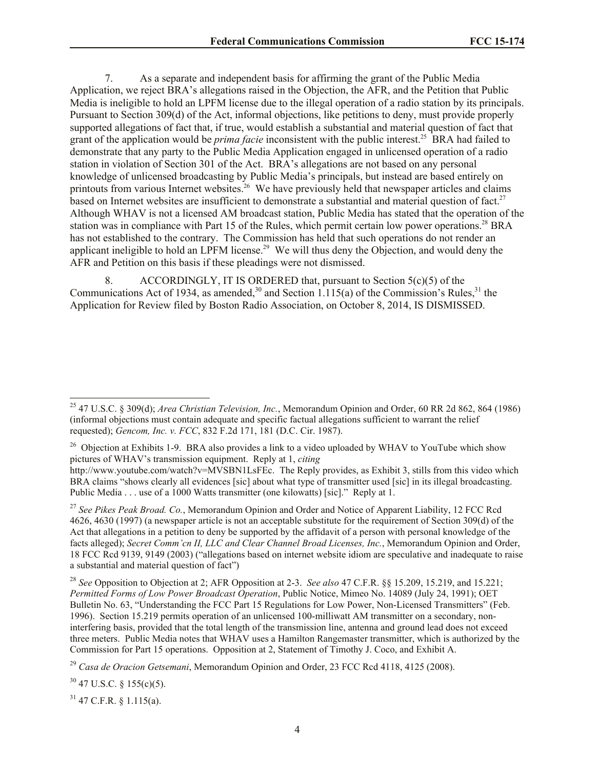7. As a separate and independent basis for affirming the grant of the Public Media Application, we reject BRA's allegations raised in the Objection, the AFR, and the Petition that Public Media is ineligible to hold an LPFM license due to the illegal operation of a radio station by its principals. Pursuant to Section 309(d) of the Act, informal objections, like petitions to deny, must provide properly supported allegations of fact that, if true, would establish a substantial and material question of fact that grant of the application would be *prima facie* inconsistent with the public interest.<sup>25</sup> BRA had failed to demonstrate that any party to the Public Media Application engaged in unlicensed operation of a radio station in violation of Section 301 of the Act. BRA's allegations are not based on any personal knowledge of unlicensed broadcasting by Public Media's principals, but instead are based entirely on printouts from various Internet websites.<sup>26</sup> We have previously held that newspaper articles and claims based on Internet websites are insufficient to demonstrate a substantial and material question of fact.<sup>27</sup> Although WHAV is not a licensed AM broadcast station, Public Media has stated that the operation of the station was in compliance with Part 15 of the Rules, which permit certain low power operations.<sup>28</sup> BRA has not established to the contrary. The Commission has held that such operations do not render an applicant ineligible to hold an LPFM license.<sup>29</sup> We will thus deny the Objection, and would deny the AFR and Petition on this basis if these pleadings were not dismissed.

8. ACCORDINGLY, IT IS ORDERED that, pursuant to Section  $5(c)(5)$  of the Communications Act of 1934, as amended, $30$  and Section 1.115(a) of the Commission's Rules, $31$  the Application for Review filed by Boston Radio Association, on October 8, 2014, IS DISMISSED.

<sup>26</sup> Objection at Exhibits 1-9. BRA also provides a link to a video uploaded by WHAV to YouTube which show pictures of WHAV's transmission equipment. Reply at 1, *citing* 

http://www.youtube.com/watch?v=MVSBN1LsFEc. The Reply provides, as Exhibit 3, stills from this video which BRA claims "shows clearly all evidences [sic] about what type of transmitter used [sic] in its illegal broadcasting. Public Media . . . use of a 1000 Watts transmitter (one kilowatts) [sic]." Reply at 1.

<sup>27</sup> *See Pikes Peak Broad. Co.*, Memorandum Opinion and Order and Notice of Apparent Liability, 12 FCC Rcd 4626, 4630 (1997) (a newspaper article is not an acceptable substitute for the requirement of Section 309(d) of the Act that allegations in a petition to deny be supported by the affidavit of a person with personal knowledge of the facts alleged); *Secret Comm'cn II, LLC and Clear Channel Broad Licenses, Inc.*, Memorandum Opinion and Order, 18 FCC Rcd 9139, 9149 (2003) ("allegations based on internet website idiom are speculative and inadequate to raise a substantial and material question of fact")

<sup>28</sup> *See* Opposition to Objection at 2; AFR Opposition at 2-3. *See also* 47 C.F.R. §§ 15.209, 15.219, and 15.221; *Permitted Forms of Low Power Broadcast Operation*, Public Notice, Mimeo No. 14089 (July 24, 1991); OET Bulletin No. 63, "Understanding the FCC Part 15 Regulations for Low Power, Non-Licensed Transmitters" (Feb. 1996). Section 15.219 permits operation of an unlicensed 100-milliwatt AM transmitter on a secondary, noninterfering basis, provided that the total length of the transmission line, antenna and ground lead does not exceed three meters. Public Media notes that WHAV uses a Hamilton Rangemaster transmitter, which is authorized by the Commission for Part 15 operations. Opposition at 2, Statement of Timothy J. Coco, and Exhibit A.

 $30$  47 U.S.C. § 155(c)(5).

l

 $31$  47 C.F.R. § 1.115(a).

<sup>25</sup> 47 U.S.C. § 309(d); *Area Christian Television, Inc.*, Memorandum Opinion and Order, 60 RR 2d 862, 864 (1986) (informal objections must contain adequate and specific factual allegations sufficient to warrant the relief requested); *Gencom, Inc. v. FCC*, 832 F.2d 171, 181 (D.C. Cir. 1987).

<sup>29</sup> *Casa de Oracion Getsemani*, Memorandum Opinion and Order, 23 FCC Rcd 4118, 4125 (2008).